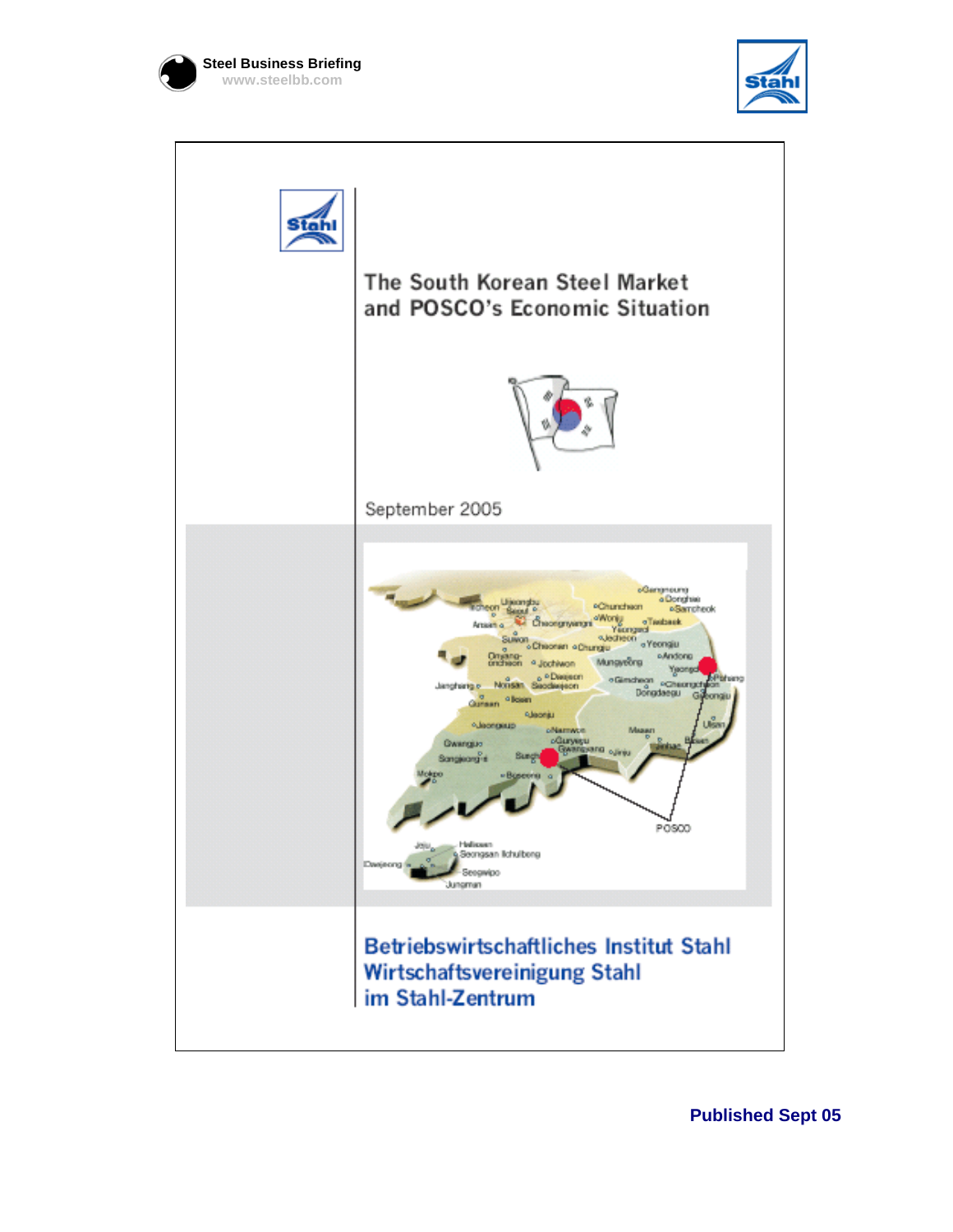





**Published Sept 05**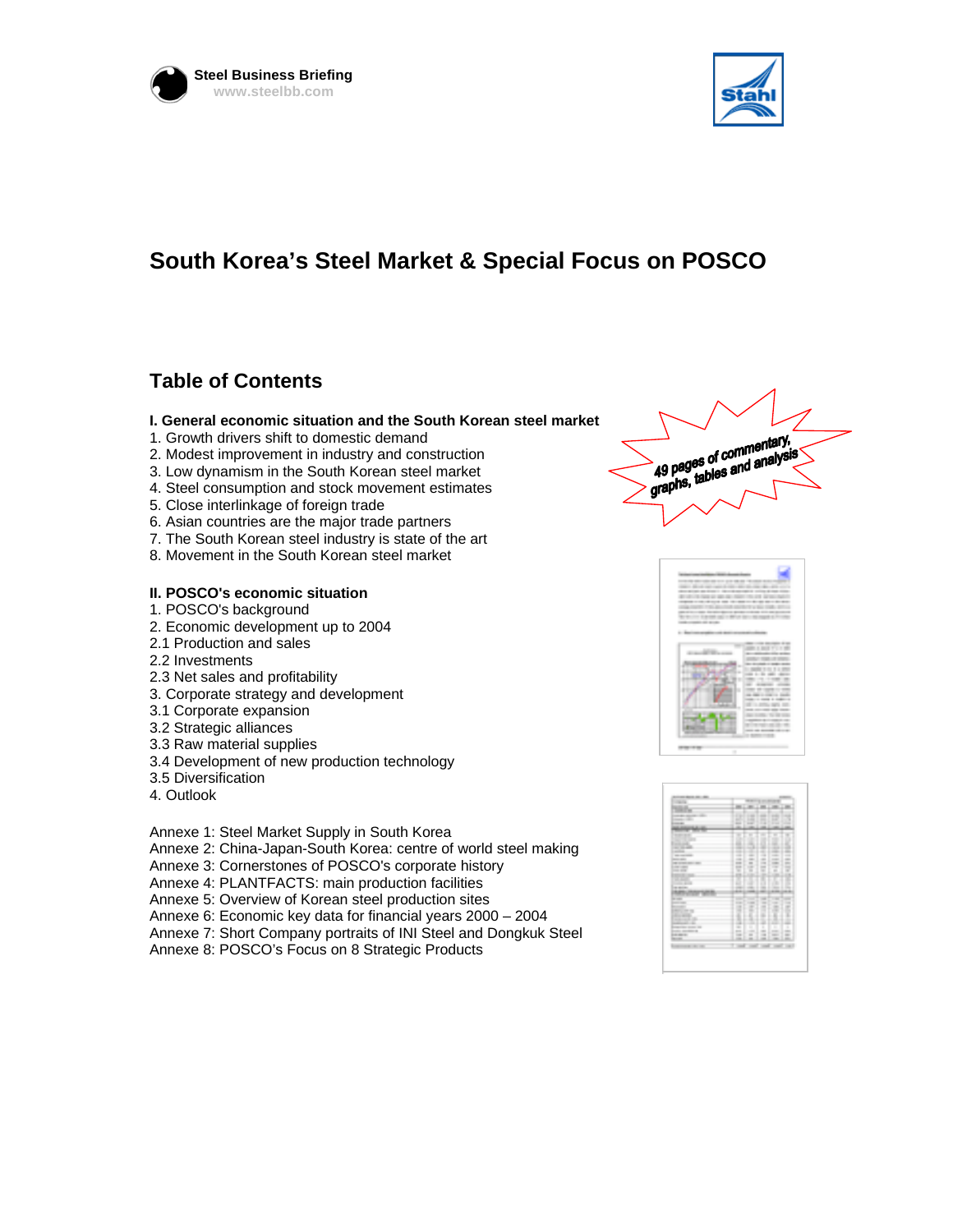



# **South Korea's Steel Market & Special Focus on POSCO**

## **Table of Contents**

### **I. General economic situation and the South Korean steel market**

- 1. Growth drivers shift to domestic demand
- 2. Modest improvement in industry and construction
- 3. Low dynamism in the South Korean steel market
- 4. Steel consumption and stock movement estimates
- 5. Close interlinkage of foreign trade
- 6. Asian countries are the major trade partners
- 7. The South Korean steel industry is state of the art
- 8. Movement in the South Korean steel market

### **II. POSCO's economic situation**

- 1. POSCO's background
- 2. Economic development up to 2004
- 2.1 Production and sales
- 2.2 Investments
- 2.3 Net sales and profitability
- 3. Corporate strategy and development
- 3.1 Corporate expansion
- 3.2 Strategic alliances
- 3.3 Raw material supplies
- 3.4 Development of new production technology
- 3.5 Diversification
- 4. Outlook

Annexe 1: Steel Market Supply in South Korea

- Annexe 2: China-Japan-South Korea: centre of world steel making
- Annexe 3: Cornerstones of POSCO's corporate history
- Annexe 4: PLANTFACTS: main production facilities
- Annexe 5: Overview of Korean steel production sites
- Annexe 6: Economic key data for financial years 2000 2004
- Annexe 7: Short Company portraits of INI Steel and Dongkuk Steel
- Annexe 8: POSCO's Focus on 8 Strategic Products